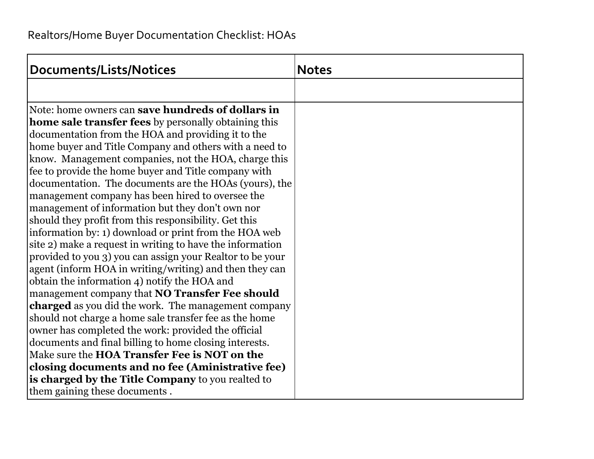| Documents/Lists/Notices                                    | <b>Notes</b> |
|------------------------------------------------------------|--------------|
|                                                            |              |
| Note: home owners can <b>save hundreds of dollars in</b>   |              |
| home sale transfer fees by personally obtaining this       |              |
| documentation from the HOA and providing it to the         |              |
| home buyer and Title Company and others with a need to     |              |
| know. Management companies, not the HOA, charge this       |              |
| fee to provide the home buyer and Title company with       |              |
| documentation. The documents are the HOAs (yours), the     |              |
| management company has been hired to oversee the           |              |
| management of information but they don't own nor           |              |
| should they profit from this responsibility. Get this      |              |
| information by: 1) download or print from the HOA web      |              |
| site 2) make a request in writing to have the information  |              |
| provided to you 3) you can assign your Realtor to be your  |              |
| agent (inform HOA in writing/writing) and then they can    |              |
| obtain the information 4) notify the HOA and               |              |
| management company that NO Transfer Fee should             |              |
| <b>charged</b> as you did the work. The management company |              |
| should not charge a home sale transfer fee as the home     |              |
| owner has completed the work: provided the official        |              |
| documents and final billing to home closing interests.     |              |
| Make sure the <b>HOA Transfer Fee is NOT on the</b>        |              |
| closing documents and no fee (Aministrative fee)           |              |
| is charged by the Title Company to you realted to          |              |
| them gaining these documents.                              |              |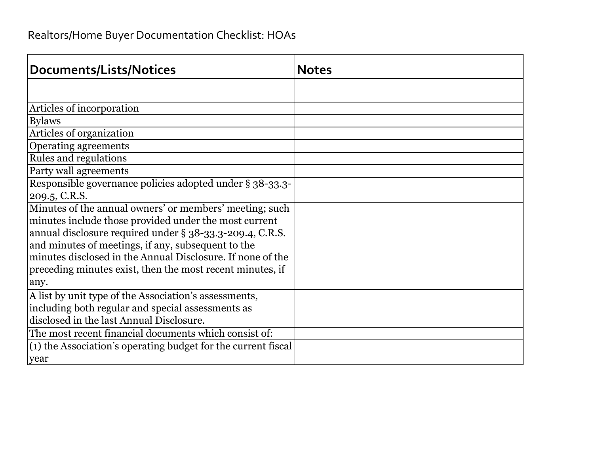## Realtors/Home Buyer Documentation Checklist: HOAs

| Documents/Lists/Notices                                       | <b>Notes</b> |
|---------------------------------------------------------------|--------------|
|                                                               |              |
| Articles of incorporation                                     |              |
| <b>Bylaws</b>                                                 |              |
| Articles of organization                                      |              |
| Operating agreements                                          |              |
| Rules and regulations                                         |              |
| Party wall agreements                                         |              |
| Responsible governance policies adopted under § 38-33.3-      |              |
| 209.5, C.R.S.                                                 |              |
| Minutes of the annual owners' or members' meeting; such       |              |
| minutes include those provided under the most current         |              |
| annual disclosure required under § 38-33.3-209.4, C.R.S.      |              |
| and minutes of meetings, if any, subsequent to the            |              |
| minutes disclosed in the Annual Disclosure. If none of the    |              |
| preceding minutes exist, then the most recent minutes, if     |              |
| any.                                                          |              |
| A list by unit type of the Association's assessments,         |              |
| including both regular and special assessments as             |              |
| disclosed in the last Annual Disclosure.                      |              |
| The most recent financial documents which consist of:         |              |
| (1) the Association's operating budget for the current fiscal |              |
| <b>year</b>                                                   |              |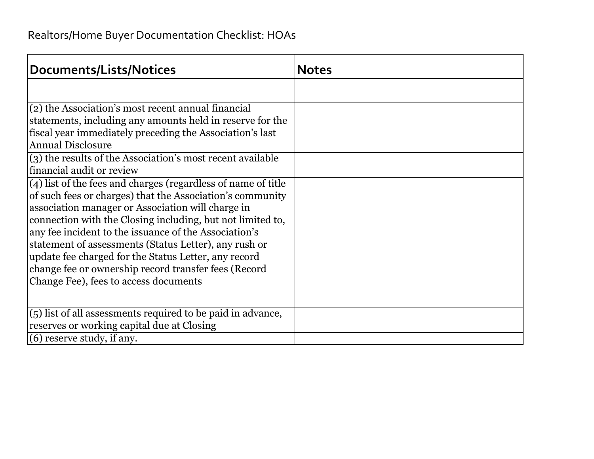| Documents/Lists/Notices                                                                                                                                                                                                                                                                                                                                                                                                                                                                                                  | <b>Notes</b> |
|--------------------------------------------------------------------------------------------------------------------------------------------------------------------------------------------------------------------------------------------------------------------------------------------------------------------------------------------------------------------------------------------------------------------------------------------------------------------------------------------------------------------------|--------------|
|                                                                                                                                                                                                                                                                                                                                                                                                                                                                                                                          |              |
| (2) the Association's most recent annual financial<br>statements, including any amounts held in reserve for the<br>fiscal year immediately preceding the Association's last<br><b>Annual Disclosure</b><br>(3) the results of the Association's most recent available                                                                                                                                                                                                                                                    |              |
| financial audit or review                                                                                                                                                                                                                                                                                                                                                                                                                                                                                                |              |
| (4) list of the fees and charges (regardless of name of title<br>of such fees or charges) that the Association's community<br>association manager or Association will charge in<br>connection with the Closing including, but not limited to,<br>any fee incident to the issuance of the Association's<br>statement of assessments (Status Letter), any rush or<br>update fee charged for the Status Letter, any record<br>change fee or ownership record transfer fees (Record<br>Change Fee), fees to access documents |              |
| (5) list of all assessments required to be paid in advance,                                                                                                                                                                                                                                                                                                                                                                                                                                                              |              |
| reserves or working capital due at Closing<br>$(6)$ reserve study, if any.                                                                                                                                                                                                                                                                                                                                                                                                                                               |              |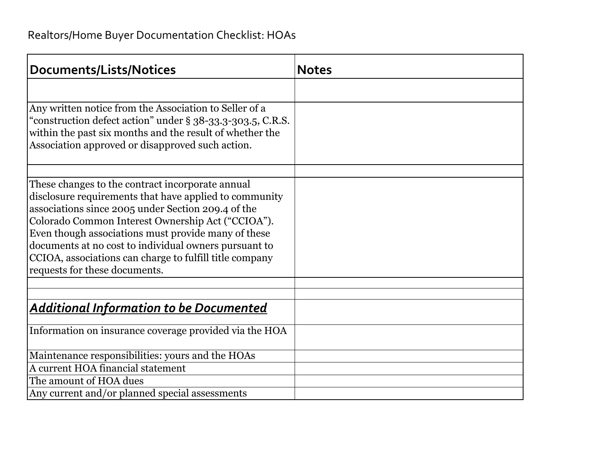| Documents/Lists/Notices                                                                                                                                                                                                                                                                                                                                                                                                           | <b>Notes</b> |
|-----------------------------------------------------------------------------------------------------------------------------------------------------------------------------------------------------------------------------------------------------------------------------------------------------------------------------------------------------------------------------------------------------------------------------------|--------------|
|                                                                                                                                                                                                                                                                                                                                                                                                                                   |              |
| Any written notice from the Association to Seller of a<br>"construction defect action" under § 38-33.3-303.5, C.R.S.<br>within the past six months and the result of whether the<br>Association approved or disapproved such action.                                                                                                                                                                                              |              |
|                                                                                                                                                                                                                                                                                                                                                                                                                                   |              |
| These changes to the contract incorporate annual<br>disclosure requirements that have applied to community<br>associations since 2005 under Section 209.4 of the<br>Colorado Common Interest Ownership Act ("CCIOA").<br>Even though associations must provide many of these<br>documents at no cost to individual owners pursuant to<br>CCIOA, associations can charge to fulfill title company<br>requests for these documents. |              |
|                                                                                                                                                                                                                                                                                                                                                                                                                                   |              |
| <u> Additional Information to be Documented</u>                                                                                                                                                                                                                                                                                                                                                                                   |              |
| Information on insurance coverage provided via the HOA                                                                                                                                                                                                                                                                                                                                                                            |              |
| Maintenance responsibilities: yours and the HOAs                                                                                                                                                                                                                                                                                                                                                                                  |              |
| A current HOA financial statement                                                                                                                                                                                                                                                                                                                                                                                                 |              |
| The amount of HOA dues                                                                                                                                                                                                                                                                                                                                                                                                            |              |
| Any current and/or planned special assessments                                                                                                                                                                                                                                                                                                                                                                                    |              |